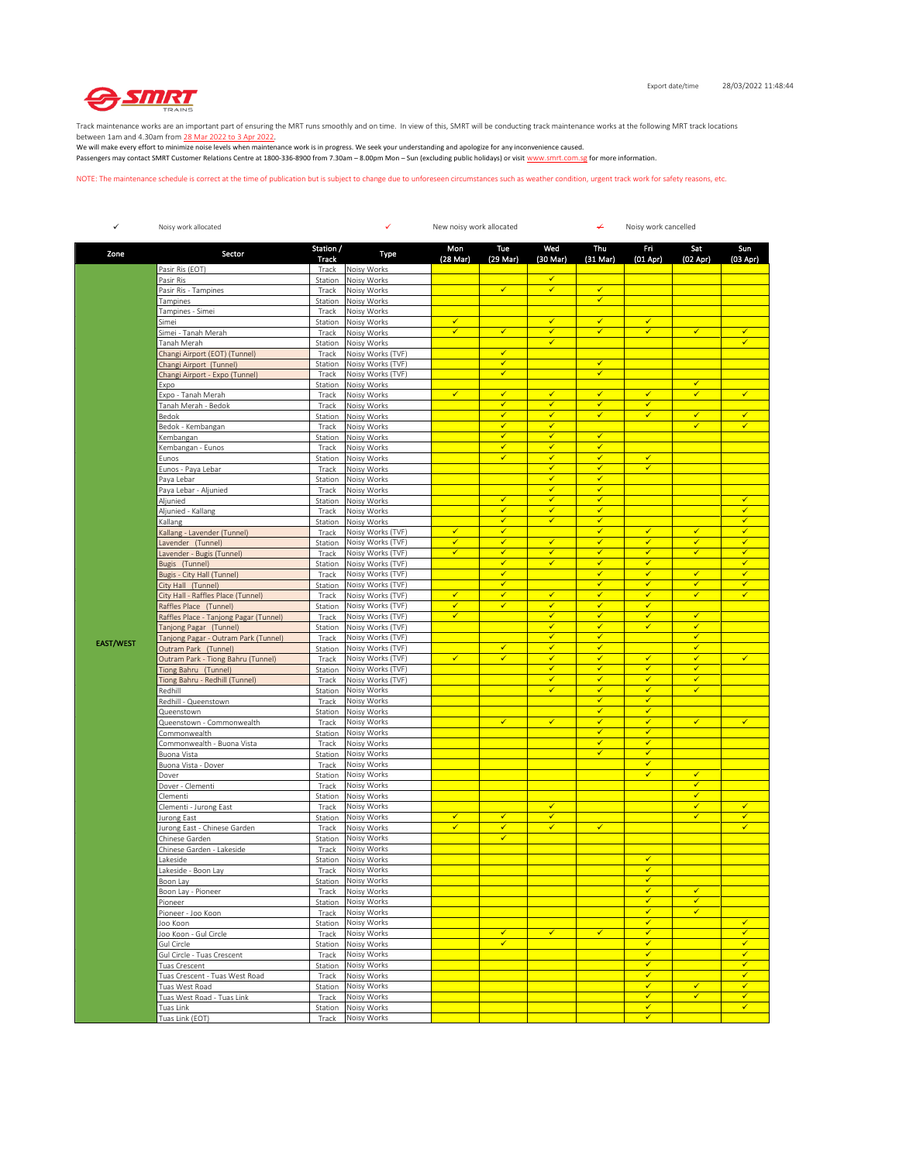

Track maintenance works are an important part of ensuring the MRT runs smoothly and on time. In view of this, SMRT will be conducting track maintenance works at the following MRT track locations

between 1am and 4.30am from <u>28 Mar 2022 to 3 Apr 2022</u>.<br>We will make every effort to minimize noise levels when maintenance work is in progress. We seek your understanding and apologize for any inconvenience caused. Passengers may contact SMRT Customer Relations Centre at 1800-336-8900 from 7.30am – 8.00pm Mon – Sun (excluding public holidays) or visit www.smrt.com.sg for more information.

NOTE: The maintenance schedule is correct at the time of publication but is subject to change due to unforeseen circumstances such as weather condition, urgent track work for safety reasons, etc.

| Wed<br>Station /<br>Mon<br>Tue<br>Thu<br>Fri<br>Sat<br>Sun<br>Zone<br>Sector<br>Type<br>Track<br>(28 Mar)<br>(29 Mar)<br>(30 Mar)<br>$(31$ Mar $)$<br>$(01$ Apr $)$<br>$(02$ Apr)<br>(03 Apr)<br>Pasir Ris (EOT)<br>Noisy Works<br>Track<br>$\checkmark$<br>Pasir Ris<br>Noisy Works<br>Station<br>$\checkmark$<br>$\checkmark$<br>$\checkmark$<br>Pasir Ris - Tampines<br>Track<br>Noisy Works<br>Noisy Works<br>$\checkmark$<br>Tampines<br>Station<br>Tampines - Simei<br>Track<br>Noisy Works<br>$\checkmark$<br>✓<br>$\checkmark$<br>Simei<br>Noisy Works<br>✔<br>Station<br>$\overline{\checkmark}$<br>$\checkmark$<br>$\checkmark$<br>$\checkmark$<br>$\checkmark$<br>$\checkmark$<br>$\checkmark$<br>Simei - Tanah Merah<br>Track<br>Noisy Works<br>$\checkmark$<br>✓<br>Tanah Merah<br>Station<br>Noisy Works<br>Changi Airport (EOT) (Tunnel)<br>Noisy Works (TVF)<br>✓<br>Track<br>Station<br>Noisy Works (TVF)<br>✓<br>$\checkmark$<br>Changi Airport (Tunnel)<br>$\checkmark$<br>Track<br>Noisy Works (TVF)<br>✓<br>Changi Airport - Expo (Tunnel)<br>$\checkmark$<br>Noisy Works<br>Expo<br>Station<br>$\checkmark$<br>$\checkmark$<br>$\checkmark$<br>Expo - Tanah Merah<br>Noisy Works<br>$\checkmark$<br>$\checkmark$<br>$\checkmark$<br>$\checkmark$<br>Track<br>✓<br>✓<br>Tanah Merah - Bedok<br>Noisy Works<br>✔<br>✓<br>Track<br>$\overline{\checkmark}$<br>$\checkmark$<br>$\checkmark$<br>$\checkmark$<br>$\checkmark$<br>$\checkmark$<br>Bedok<br>Station<br>Noisy Works<br>✓<br>$\checkmark$<br>$\checkmark$<br>$\checkmark$<br>Bedok - Kembangan<br>Track<br>Noisy Works<br>✓<br>$\checkmark$<br>$\checkmark$<br>Kembangan<br>Station<br>Noisy Works<br>$\checkmark$<br>Kembangan - Eunos<br>Noisy Works<br>$\checkmark$<br>$\checkmark$<br>Track<br>$\checkmark$<br>✓<br>$\checkmark$<br>Noisy Works<br>✔<br>Eunos<br>Station<br>$\overline{\checkmark}$<br>$\checkmark$<br>$\checkmark$<br>Eunos - Paya Lebar<br>Track<br>Noisy Works<br>$\checkmark$<br>$\checkmark$<br>Paya Lebar<br>Station<br>Noisy Works<br>$\checkmark$<br>$\checkmark$<br>Paya Lebar - Aljunied<br>Track<br>Noisy Works<br>$\checkmark$<br>$\checkmark$<br>Aljunied<br>$\checkmark$<br>$\checkmark$<br>Station<br>Noisy Works<br>$\checkmark$<br>Aljunied - Kallang<br>Noisy Works<br>✔<br>✔<br>$\checkmark$<br>Track<br>$\overline{\checkmark}$<br>✓<br>$\checkmark$<br>$\checkmark$<br>Kallang<br>Station<br>Noisy Works<br>$\checkmark$<br>$\checkmark$<br>$\checkmark$<br>$\checkmark$<br>$\checkmark$<br>$\checkmark$<br>Noisy Works (TVF)<br>Kallang - Lavender (Tunnel)<br>Track<br>Noisy Works (TVF)<br>✓<br>$\checkmark$<br>$\checkmark$<br>$\checkmark$<br>✓<br>$\checkmark$<br>$\checkmark$<br>Lavender (Tunnel)<br>Station<br>v<br>$\checkmark$<br>$\checkmark$<br>$\checkmark$<br>Lavender - Bugis (Tunnel)<br>Track<br>Noisy Works (TVF)<br>$\checkmark$<br>$\checkmark$<br>$\checkmark$<br>$\checkmark$<br>✓<br>✓<br>✓<br>Bugis (Tunnel)<br>Noisy Works (TVF)<br>✔<br>Station<br>$\checkmark$<br>$\checkmark$<br>$\checkmark$<br>$\checkmark$<br>$\checkmark$<br>Noisy Works (TVF)<br>Bugis - City Hall (Tunnel)<br>Track<br>✓<br>$\checkmark$<br>Noisy Works (TVF)<br>✓<br>✓<br>$\checkmark$<br>City Hall (Tunnel)<br>Station<br>City Hall - Raffles Place (Tunnel)<br>Noisy Works (TVF)<br>$\checkmark$<br>✓<br>$\checkmark$<br>$\checkmark$<br>✓<br>$\checkmark$<br>$\checkmark$<br>Track<br>$\checkmark$<br>Raffles Place (Tunnel)<br>Noisy Works (TVF)<br>✓<br>✓<br>$\checkmark$<br>$\checkmark$<br>Station<br>√<br>$\checkmark$<br>Noisy Works (TVF)<br>$\checkmark$<br>✓<br>Raffles Place - Tanjong Pagar (Tunnel)<br>Track<br>✔<br>$\overline{\checkmark}$<br>$\checkmark$<br>$\checkmark$<br>$\checkmark$<br>Noisy Works (TVF)<br>Tanjong Pagar (Tunnel)<br>Station<br>$\checkmark$<br>$\checkmark$<br>$\checkmark$<br>Tanjong Pagar - Outram Park (Tunnel)<br>Noisy Works (TVF)<br>Track<br><b>EAST/WEST</b><br>Noisy Works (TVF)<br>$\checkmark$<br>$\checkmark$<br>Outram Park (Tunnel)<br>$\checkmark$<br>$\checkmark$<br>Station<br>$\checkmark$<br>$\checkmark$<br>$\checkmark$<br>$\checkmark$<br>$\checkmark$<br>Outram Park - Tiong Bahru (Tunnel)<br>Noisy Works (TVF)<br>$\checkmark$<br>$\checkmark$<br>Track<br>$\checkmark$<br>Tiong Bahru (Tunnel)<br>Noisy Works (TVF)<br>✔<br>✔<br>✔<br>Station<br>$\overline{\checkmark}$<br>$\checkmark$<br>$\checkmark$<br>$\checkmark$<br>Tiong Bahru - Redhill (Tunnel)<br>Noisy Works (TVF)<br>Track<br>$\checkmark$<br>$\checkmark$<br>✓<br>$\checkmark$<br>Redhill<br>Noisy Works<br>Station<br>Noisy Works<br>Redhill - Queenstown<br>Track<br>$\checkmark$<br>$\checkmark$<br>Noisy Works<br>$\checkmark$<br>$\checkmark$<br>Queenstown<br>Station<br>✓<br>$\checkmark$<br>Queenstown - Commonwealth<br>Track<br>Noisy Works<br>✔<br>✓<br>✓<br>✓<br>$\checkmark$<br>$\checkmark$<br>Station<br>Noisy Works<br>Commonwealth<br>✓<br>✓<br>Commonwealth - Buona Vista<br>Noisy Works<br>Track<br>Buona Vista<br>Noisy Works<br>$\checkmark$<br>$\checkmark$<br>Station<br>Buona Vista - Dover<br>Noisy Works<br>✓<br>Track<br>✓<br>Noisy Works<br>✔<br>Dover<br>Station<br>$\checkmark$<br>Dover - Clementi<br>Noisy Works<br>Track<br>$\checkmark$<br>Clementi<br>Station<br>Noisy Works<br>$\checkmark$<br>$\checkmark$<br>Clementi - Jurong East<br>Track<br>Noisy Works<br>$\checkmark$<br>$\checkmark$<br>$\checkmark$<br>$\checkmark$<br>Noisy Works<br>✓<br>$\checkmark$<br>Jurong East<br>Station<br>✓<br>$\checkmark$<br>Jurong East - Chinese Garden<br>Track<br>Noisy Works<br>✔<br>✓<br>✓<br>✓<br>Noisy Works<br>Chinese Garden<br>Station<br>Noisy Works<br>Chinese Garden - Lakeside<br>Track<br>Lakeside<br>Noisy Works<br>$\checkmark$<br>Station<br>Lakeside - Boon Lay<br>Noisy Works<br>✓<br>Track<br>Boon Lay<br>Station Noisy Works<br>✓<br>$\overline{\checkmark}$<br>$\checkmark$<br>Boon Lay - Pioneer<br>Track<br>Noisy Works<br>✓<br>$\checkmark$<br>Noisy Works<br>Pioneer<br>Station<br>Noisy Works<br>Pioneer - Joo Koon<br>Track<br>$\checkmark$<br>$\checkmark$<br>Noisy Works<br>$\checkmark$<br>$\checkmark$<br>Joo Koon<br>Station<br>$\checkmark$<br>$\checkmark$<br>$\checkmark$<br>$\checkmark$<br>$\checkmark$<br>Joo Koon - Gul Circle<br>Track<br>Noisy Works<br>$\overline{\checkmark}$<br>$\checkmark$<br>$\checkmark$<br>Station<br>Noisy Works<br>Gul Circle<br>$\checkmark$<br>✓<br>Noisy Works<br>Gul Circle - Tuas Crescent<br>Track<br>$\checkmark$<br>Noisy Works<br>$\checkmark$<br>Tuas Crescent<br>Station<br>$\checkmark$<br>Tuas Crescent - Tuas West Road<br>Noisy Works<br>$\checkmark$<br>Track<br>$\checkmark$<br>$\checkmark$<br>Tuas West Road<br>Noisy Works<br>$\checkmark$<br>Station<br>$\checkmark$<br>$\checkmark$<br>$\checkmark$<br>Tuas West Road - Tuas Link<br>Noisy Works<br>Track<br>$\checkmark$<br>$\checkmark$<br>Tuas Link<br>Noisy Works<br>Station<br>Noisy Works<br>Tuas Link (EOT)<br>Track<br>$\checkmark$ | $\checkmark$ | Noisy work allocated | ✓<br>New noisy work allocated |  |  |  | ¥ | Noisy work cancelled |  |  |  |
|---------------------------------------------------------------------------------------------------------------------------------------------------------------------------------------------------------------------------------------------------------------------------------------------------------------------------------------------------------------------------------------------------------------------------------------------------------------------------------------------------------------------------------------------------------------------------------------------------------------------------------------------------------------------------------------------------------------------------------------------------------------------------------------------------------------------------------------------------------------------------------------------------------------------------------------------------------------------------------------------------------------------------------------------------------------------------------------------------------------------------------------------------------------------------------------------------------------------------------------------------------------------------------------------------------------------------------------------------------------------------------------------------------------------------------------------------------------------------------------------------------------------------------------------------------------------------------------------------------------------------------------------------------------------------------------------------------------------------------------------------------------------------------------------------------------------------------------------------------------------------------------------------------------------------------------------------------------------------------------------------------------------------------------------------------------------------------------------------------------------------------------------------------------------------------------------------------------------------------------------------------------------------------------------------------------------------------------------------------------------------------------------------------------------------------------------------------------------------------------------------------------------------------------------------------------------------------------------------------------------------------------------------------------------------------------------------------------------------------------------------------------------------------------------------------------------------------------------------------------------------------------------------------------------------------------------------------------------------------------------------------------------------------------------------------------------------------------------------------------------------------------------------------------------------------------------------------------------------------------------------------------------------------------------------------------------------------------------------------------------------------------------------------------------------------------------------------------------------------------------------------------------------------------------------------------------------------------------------------------------------------------------------------------------------------------------------------------------------------------------------------------------------------------------------------------------------------------------------------------------------------------------------------------------------------------------------------------------------------------------------------------------------------------------------------------------------------------------------------------------------------------------------------------------------------------------------------------------------------------------------------------------------------------------------------------------------------------------------------------------------------------------------------------------------------------------------------------------------------------------------------------------------------------------------------------------------------------------------------------------------------------------------------------------------------------------------------------------------------------------------------------------------------------------------------------------------------------------------------------------------------------------------------------------------------------------------------------------------------------------------------------------------------------------------------------------------------------------------------------------------------------------------------------------------------------------------------------------------------------------------------------------------------------------------------------------------------------------------------------------------------------------------------------------------------------------------------------------------------------------------------------------------------------------------------------------------------------------------------------------------------------------------------------------------------------------------------------------------------------------------------------------------------------------------------------------------------------------------------------------------------------------------------------------------------------------------------------------------------------------------------------------------------------------------------------------------------------------------------------------------------------------------------------------------------------------------------------------------------------------------------------------------------------------------------------------------------------------------------------------------------------------------------------------------------------------------------------------------------------------------------------------------------------------------------------------------------------------------------------------------------------------------------------------------------------------------------------------------------------------------------------------------------------------------------------------------------------------------------------------------------------------------------------------------------------------------------------------------------|--------------|----------------------|-------------------------------|--|--|--|---|----------------------|--|--|--|
|                                                                                                                                                                                                                                                                                                                                                                                                                                                                                                                                                                                                                                                                                                                                                                                                                                                                                                                                                                                                                                                                                                                                                                                                                                                                                                                                                                                                                                                                                                                                                                                                                                                                                                                                                                                                                                                                                                                                                                                                                                                                                                                                                                                                                                                                                                                                                                                                                                                                                                                                                                                                                                                                                                                                                                                                                                                                                                                                                                                                                                                                                                                                                                                                                                                                                                                                                                                                                                                                                                                                                                                                                                                                                                                                                                                                                                                                                                                                                                                                                                                                                                                                                                                                                                                                                                                                                                                                                                                                                                                                                                                                                                                                                                                                                                                                                                                                                                                                                                                                                                                                                                                                                                                                                                                                                                                                                                                                                                                                                                                                                                                                                                                                                                                                                                                                                                                                                                                                                                                                                                                                                                                                                                                                                                                                                                                                                                                                                                                                                                                                                                                                                                                                                                                                                                                                                                                                                                                                                                                 |              |                      |                               |  |  |  |   |                      |  |  |  |
|                                                                                                                                                                                                                                                                                                                                                                                                                                                                                                                                                                                                                                                                                                                                                                                                                                                                                                                                                                                                                                                                                                                                                                                                                                                                                                                                                                                                                                                                                                                                                                                                                                                                                                                                                                                                                                                                                                                                                                                                                                                                                                                                                                                                                                                                                                                                                                                                                                                                                                                                                                                                                                                                                                                                                                                                                                                                                                                                                                                                                                                                                                                                                                                                                                                                                                                                                                                                                                                                                                                                                                                                                                                                                                                                                                                                                                                                                                                                                                                                                                                                                                                                                                                                                                                                                                                                                                                                                                                                                                                                                                                                                                                                                                                                                                                                                                                                                                                                                                                                                                                                                                                                                                                                                                                                                                                                                                                                                                                                                                                                                                                                                                                                                                                                                                                                                                                                                                                                                                                                                                                                                                                                                                                                                                                                                                                                                                                                                                                                                                                                                                                                                                                                                                                                                                                                                                                                                                                                                                                 |              |                      |                               |  |  |  |   |                      |  |  |  |
|                                                                                                                                                                                                                                                                                                                                                                                                                                                                                                                                                                                                                                                                                                                                                                                                                                                                                                                                                                                                                                                                                                                                                                                                                                                                                                                                                                                                                                                                                                                                                                                                                                                                                                                                                                                                                                                                                                                                                                                                                                                                                                                                                                                                                                                                                                                                                                                                                                                                                                                                                                                                                                                                                                                                                                                                                                                                                                                                                                                                                                                                                                                                                                                                                                                                                                                                                                                                                                                                                                                                                                                                                                                                                                                                                                                                                                                                                                                                                                                                                                                                                                                                                                                                                                                                                                                                                                                                                                                                                                                                                                                                                                                                                                                                                                                                                                                                                                                                                                                                                                                                                                                                                                                                                                                                                                                                                                                                                                                                                                                                                                                                                                                                                                                                                                                                                                                                                                                                                                                                                                                                                                                                                                                                                                                                                                                                                                                                                                                                                                                                                                                                                                                                                                                                                                                                                                                                                                                                                                                 |              |                      |                               |  |  |  |   |                      |  |  |  |
|                                                                                                                                                                                                                                                                                                                                                                                                                                                                                                                                                                                                                                                                                                                                                                                                                                                                                                                                                                                                                                                                                                                                                                                                                                                                                                                                                                                                                                                                                                                                                                                                                                                                                                                                                                                                                                                                                                                                                                                                                                                                                                                                                                                                                                                                                                                                                                                                                                                                                                                                                                                                                                                                                                                                                                                                                                                                                                                                                                                                                                                                                                                                                                                                                                                                                                                                                                                                                                                                                                                                                                                                                                                                                                                                                                                                                                                                                                                                                                                                                                                                                                                                                                                                                                                                                                                                                                                                                                                                                                                                                                                                                                                                                                                                                                                                                                                                                                                                                                                                                                                                                                                                                                                                                                                                                                                                                                                                                                                                                                                                                                                                                                                                                                                                                                                                                                                                                                                                                                                                                                                                                                                                                                                                                                                                                                                                                                                                                                                                                                                                                                                                                                                                                                                                                                                                                                                                                                                                                                                 |              |                      |                               |  |  |  |   |                      |  |  |  |
|                                                                                                                                                                                                                                                                                                                                                                                                                                                                                                                                                                                                                                                                                                                                                                                                                                                                                                                                                                                                                                                                                                                                                                                                                                                                                                                                                                                                                                                                                                                                                                                                                                                                                                                                                                                                                                                                                                                                                                                                                                                                                                                                                                                                                                                                                                                                                                                                                                                                                                                                                                                                                                                                                                                                                                                                                                                                                                                                                                                                                                                                                                                                                                                                                                                                                                                                                                                                                                                                                                                                                                                                                                                                                                                                                                                                                                                                                                                                                                                                                                                                                                                                                                                                                                                                                                                                                                                                                                                                                                                                                                                                                                                                                                                                                                                                                                                                                                                                                                                                                                                                                                                                                                                                                                                                                                                                                                                                                                                                                                                                                                                                                                                                                                                                                                                                                                                                                                                                                                                                                                                                                                                                                                                                                                                                                                                                                                                                                                                                                                                                                                                                                                                                                                                                                                                                                                                                                                                                                                                 |              |                      |                               |  |  |  |   |                      |  |  |  |
|                                                                                                                                                                                                                                                                                                                                                                                                                                                                                                                                                                                                                                                                                                                                                                                                                                                                                                                                                                                                                                                                                                                                                                                                                                                                                                                                                                                                                                                                                                                                                                                                                                                                                                                                                                                                                                                                                                                                                                                                                                                                                                                                                                                                                                                                                                                                                                                                                                                                                                                                                                                                                                                                                                                                                                                                                                                                                                                                                                                                                                                                                                                                                                                                                                                                                                                                                                                                                                                                                                                                                                                                                                                                                                                                                                                                                                                                                                                                                                                                                                                                                                                                                                                                                                                                                                                                                                                                                                                                                                                                                                                                                                                                                                                                                                                                                                                                                                                                                                                                                                                                                                                                                                                                                                                                                                                                                                                                                                                                                                                                                                                                                                                                                                                                                                                                                                                                                                                                                                                                                                                                                                                                                                                                                                                                                                                                                                                                                                                                                                                                                                                                                                                                                                                                                                                                                                                                                                                                                                                 |              |                      |                               |  |  |  |   |                      |  |  |  |
|                                                                                                                                                                                                                                                                                                                                                                                                                                                                                                                                                                                                                                                                                                                                                                                                                                                                                                                                                                                                                                                                                                                                                                                                                                                                                                                                                                                                                                                                                                                                                                                                                                                                                                                                                                                                                                                                                                                                                                                                                                                                                                                                                                                                                                                                                                                                                                                                                                                                                                                                                                                                                                                                                                                                                                                                                                                                                                                                                                                                                                                                                                                                                                                                                                                                                                                                                                                                                                                                                                                                                                                                                                                                                                                                                                                                                                                                                                                                                                                                                                                                                                                                                                                                                                                                                                                                                                                                                                                                                                                                                                                                                                                                                                                                                                                                                                                                                                                                                                                                                                                                                                                                                                                                                                                                                                                                                                                                                                                                                                                                                                                                                                                                                                                                                                                                                                                                                                                                                                                                                                                                                                                                                                                                                                                                                                                                                                                                                                                                                                                                                                                                                                                                                                                                                                                                                                                                                                                                                                                 |              |                      |                               |  |  |  |   |                      |  |  |  |
|                                                                                                                                                                                                                                                                                                                                                                                                                                                                                                                                                                                                                                                                                                                                                                                                                                                                                                                                                                                                                                                                                                                                                                                                                                                                                                                                                                                                                                                                                                                                                                                                                                                                                                                                                                                                                                                                                                                                                                                                                                                                                                                                                                                                                                                                                                                                                                                                                                                                                                                                                                                                                                                                                                                                                                                                                                                                                                                                                                                                                                                                                                                                                                                                                                                                                                                                                                                                                                                                                                                                                                                                                                                                                                                                                                                                                                                                                                                                                                                                                                                                                                                                                                                                                                                                                                                                                                                                                                                                                                                                                                                                                                                                                                                                                                                                                                                                                                                                                                                                                                                                                                                                                                                                                                                                                                                                                                                                                                                                                                                                                                                                                                                                                                                                                                                                                                                                                                                                                                                                                                                                                                                                                                                                                                                                                                                                                                                                                                                                                                                                                                                                                                                                                                                                                                                                                                                                                                                                                                                 |              |                      |                               |  |  |  |   |                      |  |  |  |
|                                                                                                                                                                                                                                                                                                                                                                                                                                                                                                                                                                                                                                                                                                                                                                                                                                                                                                                                                                                                                                                                                                                                                                                                                                                                                                                                                                                                                                                                                                                                                                                                                                                                                                                                                                                                                                                                                                                                                                                                                                                                                                                                                                                                                                                                                                                                                                                                                                                                                                                                                                                                                                                                                                                                                                                                                                                                                                                                                                                                                                                                                                                                                                                                                                                                                                                                                                                                                                                                                                                                                                                                                                                                                                                                                                                                                                                                                                                                                                                                                                                                                                                                                                                                                                                                                                                                                                                                                                                                                                                                                                                                                                                                                                                                                                                                                                                                                                                                                                                                                                                                                                                                                                                                                                                                                                                                                                                                                                                                                                                                                                                                                                                                                                                                                                                                                                                                                                                                                                                                                                                                                                                                                                                                                                                                                                                                                                                                                                                                                                                                                                                                                                                                                                                                                                                                                                                                                                                                                                                 |              |                      |                               |  |  |  |   |                      |  |  |  |
|                                                                                                                                                                                                                                                                                                                                                                                                                                                                                                                                                                                                                                                                                                                                                                                                                                                                                                                                                                                                                                                                                                                                                                                                                                                                                                                                                                                                                                                                                                                                                                                                                                                                                                                                                                                                                                                                                                                                                                                                                                                                                                                                                                                                                                                                                                                                                                                                                                                                                                                                                                                                                                                                                                                                                                                                                                                                                                                                                                                                                                                                                                                                                                                                                                                                                                                                                                                                                                                                                                                                                                                                                                                                                                                                                                                                                                                                                                                                                                                                                                                                                                                                                                                                                                                                                                                                                                                                                                                                                                                                                                                                                                                                                                                                                                                                                                                                                                                                                                                                                                                                                                                                                                                                                                                                                                                                                                                                                                                                                                                                                                                                                                                                                                                                                                                                                                                                                                                                                                                                                                                                                                                                                                                                                                                                                                                                                                                                                                                                                                                                                                                                                                                                                                                                                                                                                                                                                                                                                                                 |              |                      |                               |  |  |  |   |                      |  |  |  |
|                                                                                                                                                                                                                                                                                                                                                                                                                                                                                                                                                                                                                                                                                                                                                                                                                                                                                                                                                                                                                                                                                                                                                                                                                                                                                                                                                                                                                                                                                                                                                                                                                                                                                                                                                                                                                                                                                                                                                                                                                                                                                                                                                                                                                                                                                                                                                                                                                                                                                                                                                                                                                                                                                                                                                                                                                                                                                                                                                                                                                                                                                                                                                                                                                                                                                                                                                                                                                                                                                                                                                                                                                                                                                                                                                                                                                                                                                                                                                                                                                                                                                                                                                                                                                                                                                                                                                                                                                                                                                                                                                                                                                                                                                                                                                                                                                                                                                                                                                                                                                                                                                                                                                                                                                                                                                                                                                                                                                                                                                                                                                                                                                                                                                                                                                                                                                                                                                                                                                                                                                                                                                                                                                                                                                                                                                                                                                                                                                                                                                                                                                                                                                                                                                                                                                                                                                                                                                                                                                                                 |              |                      |                               |  |  |  |   |                      |  |  |  |
|                                                                                                                                                                                                                                                                                                                                                                                                                                                                                                                                                                                                                                                                                                                                                                                                                                                                                                                                                                                                                                                                                                                                                                                                                                                                                                                                                                                                                                                                                                                                                                                                                                                                                                                                                                                                                                                                                                                                                                                                                                                                                                                                                                                                                                                                                                                                                                                                                                                                                                                                                                                                                                                                                                                                                                                                                                                                                                                                                                                                                                                                                                                                                                                                                                                                                                                                                                                                                                                                                                                                                                                                                                                                                                                                                                                                                                                                                                                                                                                                                                                                                                                                                                                                                                                                                                                                                                                                                                                                                                                                                                                                                                                                                                                                                                                                                                                                                                                                                                                                                                                                                                                                                                                                                                                                                                                                                                                                                                                                                                                                                                                                                                                                                                                                                                                                                                                                                                                                                                                                                                                                                                                                                                                                                                                                                                                                                                                                                                                                                                                                                                                                                                                                                                                                                                                                                                                                                                                                                                                 |              |                      |                               |  |  |  |   |                      |  |  |  |
|                                                                                                                                                                                                                                                                                                                                                                                                                                                                                                                                                                                                                                                                                                                                                                                                                                                                                                                                                                                                                                                                                                                                                                                                                                                                                                                                                                                                                                                                                                                                                                                                                                                                                                                                                                                                                                                                                                                                                                                                                                                                                                                                                                                                                                                                                                                                                                                                                                                                                                                                                                                                                                                                                                                                                                                                                                                                                                                                                                                                                                                                                                                                                                                                                                                                                                                                                                                                                                                                                                                                                                                                                                                                                                                                                                                                                                                                                                                                                                                                                                                                                                                                                                                                                                                                                                                                                                                                                                                                                                                                                                                                                                                                                                                                                                                                                                                                                                                                                                                                                                                                                                                                                                                                                                                                                                                                                                                                                                                                                                                                                                                                                                                                                                                                                                                                                                                                                                                                                                                                                                                                                                                                                                                                                                                                                                                                                                                                                                                                                                                                                                                                                                                                                                                                                                                                                                                                                                                                                                                 |              |                      |                               |  |  |  |   |                      |  |  |  |
|                                                                                                                                                                                                                                                                                                                                                                                                                                                                                                                                                                                                                                                                                                                                                                                                                                                                                                                                                                                                                                                                                                                                                                                                                                                                                                                                                                                                                                                                                                                                                                                                                                                                                                                                                                                                                                                                                                                                                                                                                                                                                                                                                                                                                                                                                                                                                                                                                                                                                                                                                                                                                                                                                                                                                                                                                                                                                                                                                                                                                                                                                                                                                                                                                                                                                                                                                                                                                                                                                                                                                                                                                                                                                                                                                                                                                                                                                                                                                                                                                                                                                                                                                                                                                                                                                                                                                                                                                                                                                                                                                                                                                                                                                                                                                                                                                                                                                                                                                                                                                                                                                                                                                                                                                                                                                                                                                                                                                                                                                                                                                                                                                                                                                                                                                                                                                                                                                                                                                                                                                                                                                                                                                                                                                                                                                                                                                                                                                                                                                                                                                                                                                                                                                                                                                                                                                                                                                                                                                                                 |              |                      |                               |  |  |  |   |                      |  |  |  |
|                                                                                                                                                                                                                                                                                                                                                                                                                                                                                                                                                                                                                                                                                                                                                                                                                                                                                                                                                                                                                                                                                                                                                                                                                                                                                                                                                                                                                                                                                                                                                                                                                                                                                                                                                                                                                                                                                                                                                                                                                                                                                                                                                                                                                                                                                                                                                                                                                                                                                                                                                                                                                                                                                                                                                                                                                                                                                                                                                                                                                                                                                                                                                                                                                                                                                                                                                                                                                                                                                                                                                                                                                                                                                                                                                                                                                                                                                                                                                                                                                                                                                                                                                                                                                                                                                                                                                                                                                                                                                                                                                                                                                                                                                                                                                                                                                                                                                                                                                                                                                                                                                                                                                                                                                                                                                                                                                                                                                                                                                                                                                                                                                                                                                                                                                                                                                                                                                                                                                                                                                                                                                                                                                                                                                                                                                                                                                                                                                                                                                                                                                                                                                                                                                                                                                                                                                                                                                                                                                                                 |              |                      |                               |  |  |  |   |                      |  |  |  |
|                                                                                                                                                                                                                                                                                                                                                                                                                                                                                                                                                                                                                                                                                                                                                                                                                                                                                                                                                                                                                                                                                                                                                                                                                                                                                                                                                                                                                                                                                                                                                                                                                                                                                                                                                                                                                                                                                                                                                                                                                                                                                                                                                                                                                                                                                                                                                                                                                                                                                                                                                                                                                                                                                                                                                                                                                                                                                                                                                                                                                                                                                                                                                                                                                                                                                                                                                                                                                                                                                                                                                                                                                                                                                                                                                                                                                                                                                                                                                                                                                                                                                                                                                                                                                                                                                                                                                                                                                                                                                                                                                                                                                                                                                                                                                                                                                                                                                                                                                                                                                                                                                                                                                                                                                                                                                                                                                                                                                                                                                                                                                                                                                                                                                                                                                                                                                                                                                                                                                                                                                                                                                                                                                                                                                                                                                                                                                                                                                                                                                                                                                                                                                                                                                                                                                                                                                                                                                                                                                                                 |              |                      |                               |  |  |  |   |                      |  |  |  |
|                                                                                                                                                                                                                                                                                                                                                                                                                                                                                                                                                                                                                                                                                                                                                                                                                                                                                                                                                                                                                                                                                                                                                                                                                                                                                                                                                                                                                                                                                                                                                                                                                                                                                                                                                                                                                                                                                                                                                                                                                                                                                                                                                                                                                                                                                                                                                                                                                                                                                                                                                                                                                                                                                                                                                                                                                                                                                                                                                                                                                                                                                                                                                                                                                                                                                                                                                                                                                                                                                                                                                                                                                                                                                                                                                                                                                                                                                                                                                                                                                                                                                                                                                                                                                                                                                                                                                                                                                                                                                                                                                                                                                                                                                                                                                                                                                                                                                                                                                                                                                                                                                                                                                                                                                                                                                                                                                                                                                                                                                                                                                                                                                                                                                                                                                                                                                                                                                                                                                                                                                                                                                                                                                                                                                                                                                                                                                                                                                                                                                                                                                                                                                                                                                                                                                                                                                                                                                                                                                                                 |              |                      |                               |  |  |  |   |                      |  |  |  |
|                                                                                                                                                                                                                                                                                                                                                                                                                                                                                                                                                                                                                                                                                                                                                                                                                                                                                                                                                                                                                                                                                                                                                                                                                                                                                                                                                                                                                                                                                                                                                                                                                                                                                                                                                                                                                                                                                                                                                                                                                                                                                                                                                                                                                                                                                                                                                                                                                                                                                                                                                                                                                                                                                                                                                                                                                                                                                                                                                                                                                                                                                                                                                                                                                                                                                                                                                                                                                                                                                                                                                                                                                                                                                                                                                                                                                                                                                                                                                                                                                                                                                                                                                                                                                                                                                                                                                                                                                                                                                                                                                                                                                                                                                                                                                                                                                                                                                                                                                                                                                                                                                                                                                                                                                                                                                                                                                                                                                                                                                                                                                                                                                                                                                                                                                                                                                                                                                                                                                                                                                                                                                                                                                                                                                                                                                                                                                                                                                                                                                                                                                                                                                                                                                                                                                                                                                                                                                                                                                                                 |              |                      |                               |  |  |  |   |                      |  |  |  |
|                                                                                                                                                                                                                                                                                                                                                                                                                                                                                                                                                                                                                                                                                                                                                                                                                                                                                                                                                                                                                                                                                                                                                                                                                                                                                                                                                                                                                                                                                                                                                                                                                                                                                                                                                                                                                                                                                                                                                                                                                                                                                                                                                                                                                                                                                                                                                                                                                                                                                                                                                                                                                                                                                                                                                                                                                                                                                                                                                                                                                                                                                                                                                                                                                                                                                                                                                                                                                                                                                                                                                                                                                                                                                                                                                                                                                                                                                                                                                                                                                                                                                                                                                                                                                                                                                                                                                                                                                                                                                                                                                                                                                                                                                                                                                                                                                                                                                                                                                                                                                                                                                                                                                                                                                                                                                                                                                                                                                                                                                                                                                                                                                                                                                                                                                                                                                                                                                                                                                                                                                                                                                                                                                                                                                                                                                                                                                                                                                                                                                                                                                                                                                                                                                                                                                                                                                                                                                                                                                                                 |              |                      |                               |  |  |  |   |                      |  |  |  |
|                                                                                                                                                                                                                                                                                                                                                                                                                                                                                                                                                                                                                                                                                                                                                                                                                                                                                                                                                                                                                                                                                                                                                                                                                                                                                                                                                                                                                                                                                                                                                                                                                                                                                                                                                                                                                                                                                                                                                                                                                                                                                                                                                                                                                                                                                                                                                                                                                                                                                                                                                                                                                                                                                                                                                                                                                                                                                                                                                                                                                                                                                                                                                                                                                                                                                                                                                                                                                                                                                                                                                                                                                                                                                                                                                                                                                                                                                                                                                                                                                                                                                                                                                                                                                                                                                                                                                                                                                                                                                                                                                                                                                                                                                                                                                                                                                                                                                                                                                                                                                                                                                                                                                                                                                                                                                                                                                                                                                                                                                                                                                                                                                                                                                                                                                                                                                                                                                                                                                                                                                                                                                                                                                                                                                                                                                                                                                                                                                                                                                                                                                                                                                                                                                                                                                                                                                                                                                                                                                                                 |              |                      |                               |  |  |  |   |                      |  |  |  |
|                                                                                                                                                                                                                                                                                                                                                                                                                                                                                                                                                                                                                                                                                                                                                                                                                                                                                                                                                                                                                                                                                                                                                                                                                                                                                                                                                                                                                                                                                                                                                                                                                                                                                                                                                                                                                                                                                                                                                                                                                                                                                                                                                                                                                                                                                                                                                                                                                                                                                                                                                                                                                                                                                                                                                                                                                                                                                                                                                                                                                                                                                                                                                                                                                                                                                                                                                                                                                                                                                                                                                                                                                                                                                                                                                                                                                                                                                                                                                                                                                                                                                                                                                                                                                                                                                                                                                                                                                                                                                                                                                                                                                                                                                                                                                                                                                                                                                                                                                                                                                                                                                                                                                                                                                                                                                                                                                                                                                                                                                                                                                                                                                                                                                                                                                                                                                                                                                                                                                                                                                                                                                                                                                                                                                                                                                                                                                                                                                                                                                                                                                                                                                                                                                                                                                                                                                                                                                                                                                                                 |              |                      |                               |  |  |  |   |                      |  |  |  |
|                                                                                                                                                                                                                                                                                                                                                                                                                                                                                                                                                                                                                                                                                                                                                                                                                                                                                                                                                                                                                                                                                                                                                                                                                                                                                                                                                                                                                                                                                                                                                                                                                                                                                                                                                                                                                                                                                                                                                                                                                                                                                                                                                                                                                                                                                                                                                                                                                                                                                                                                                                                                                                                                                                                                                                                                                                                                                                                                                                                                                                                                                                                                                                                                                                                                                                                                                                                                                                                                                                                                                                                                                                                                                                                                                                                                                                                                                                                                                                                                                                                                                                                                                                                                                                                                                                                                                                                                                                                                                                                                                                                                                                                                                                                                                                                                                                                                                                                                                                                                                                                                                                                                                                                                                                                                                                                                                                                                                                                                                                                                                                                                                                                                                                                                                                                                                                                                                                                                                                                                                                                                                                                                                                                                                                                                                                                                                                                                                                                                                                                                                                                                                                                                                                                                                                                                                                                                                                                                                                                 |              |                      |                               |  |  |  |   |                      |  |  |  |
|                                                                                                                                                                                                                                                                                                                                                                                                                                                                                                                                                                                                                                                                                                                                                                                                                                                                                                                                                                                                                                                                                                                                                                                                                                                                                                                                                                                                                                                                                                                                                                                                                                                                                                                                                                                                                                                                                                                                                                                                                                                                                                                                                                                                                                                                                                                                                                                                                                                                                                                                                                                                                                                                                                                                                                                                                                                                                                                                                                                                                                                                                                                                                                                                                                                                                                                                                                                                                                                                                                                                                                                                                                                                                                                                                                                                                                                                                                                                                                                                                                                                                                                                                                                                                                                                                                                                                                                                                                                                                                                                                                                                                                                                                                                                                                                                                                                                                                                                                                                                                                                                                                                                                                                                                                                                                                                                                                                                                                                                                                                                                                                                                                                                                                                                                                                                                                                                                                                                                                                                                                                                                                                                                                                                                                                                                                                                                                                                                                                                                                                                                                                                                                                                                                                                                                                                                                                                                                                                                                                 |              |                      |                               |  |  |  |   |                      |  |  |  |
|                                                                                                                                                                                                                                                                                                                                                                                                                                                                                                                                                                                                                                                                                                                                                                                                                                                                                                                                                                                                                                                                                                                                                                                                                                                                                                                                                                                                                                                                                                                                                                                                                                                                                                                                                                                                                                                                                                                                                                                                                                                                                                                                                                                                                                                                                                                                                                                                                                                                                                                                                                                                                                                                                                                                                                                                                                                                                                                                                                                                                                                                                                                                                                                                                                                                                                                                                                                                                                                                                                                                                                                                                                                                                                                                                                                                                                                                                                                                                                                                                                                                                                                                                                                                                                                                                                                                                                                                                                                                                                                                                                                                                                                                                                                                                                                                                                                                                                                                                                                                                                                                                                                                                                                                                                                                                                                                                                                                                                                                                                                                                                                                                                                                                                                                                                                                                                                                                                                                                                                                                                                                                                                                                                                                                                                                                                                                                                                                                                                                                                                                                                                                                                                                                                                                                                                                                                                                                                                                                                                 |              |                      |                               |  |  |  |   |                      |  |  |  |
|                                                                                                                                                                                                                                                                                                                                                                                                                                                                                                                                                                                                                                                                                                                                                                                                                                                                                                                                                                                                                                                                                                                                                                                                                                                                                                                                                                                                                                                                                                                                                                                                                                                                                                                                                                                                                                                                                                                                                                                                                                                                                                                                                                                                                                                                                                                                                                                                                                                                                                                                                                                                                                                                                                                                                                                                                                                                                                                                                                                                                                                                                                                                                                                                                                                                                                                                                                                                                                                                                                                                                                                                                                                                                                                                                                                                                                                                                                                                                                                                                                                                                                                                                                                                                                                                                                                                                                                                                                                                                                                                                                                                                                                                                                                                                                                                                                                                                                                                                                                                                                                                                                                                                                                                                                                                                                                                                                                                                                                                                                                                                                                                                                                                                                                                                                                                                                                                                                                                                                                                                                                                                                                                                                                                                                                                                                                                                                                                                                                                                                                                                                                                                                                                                                                                                                                                                                                                                                                                                                                 |              |                      |                               |  |  |  |   |                      |  |  |  |
|                                                                                                                                                                                                                                                                                                                                                                                                                                                                                                                                                                                                                                                                                                                                                                                                                                                                                                                                                                                                                                                                                                                                                                                                                                                                                                                                                                                                                                                                                                                                                                                                                                                                                                                                                                                                                                                                                                                                                                                                                                                                                                                                                                                                                                                                                                                                                                                                                                                                                                                                                                                                                                                                                                                                                                                                                                                                                                                                                                                                                                                                                                                                                                                                                                                                                                                                                                                                                                                                                                                                                                                                                                                                                                                                                                                                                                                                                                                                                                                                                                                                                                                                                                                                                                                                                                                                                                                                                                                                                                                                                                                                                                                                                                                                                                                                                                                                                                                                                                                                                                                                                                                                                                                                                                                                                                                                                                                                                                                                                                                                                                                                                                                                                                                                                                                                                                                                                                                                                                                                                                                                                                                                                                                                                                                                                                                                                                                                                                                                                                                                                                                                                                                                                                                                                                                                                                                                                                                                                                                 |              |                      |                               |  |  |  |   |                      |  |  |  |
|                                                                                                                                                                                                                                                                                                                                                                                                                                                                                                                                                                                                                                                                                                                                                                                                                                                                                                                                                                                                                                                                                                                                                                                                                                                                                                                                                                                                                                                                                                                                                                                                                                                                                                                                                                                                                                                                                                                                                                                                                                                                                                                                                                                                                                                                                                                                                                                                                                                                                                                                                                                                                                                                                                                                                                                                                                                                                                                                                                                                                                                                                                                                                                                                                                                                                                                                                                                                                                                                                                                                                                                                                                                                                                                                                                                                                                                                                                                                                                                                                                                                                                                                                                                                                                                                                                                                                                                                                                                                                                                                                                                                                                                                                                                                                                                                                                                                                                                                                                                                                                                                                                                                                                                                                                                                                                                                                                                                                                                                                                                                                                                                                                                                                                                                                                                                                                                                                                                                                                                                                                                                                                                                                                                                                                                                                                                                                                                                                                                                                                                                                                                                                                                                                                                                                                                                                                                                                                                                                                                 |              |                      |                               |  |  |  |   |                      |  |  |  |
|                                                                                                                                                                                                                                                                                                                                                                                                                                                                                                                                                                                                                                                                                                                                                                                                                                                                                                                                                                                                                                                                                                                                                                                                                                                                                                                                                                                                                                                                                                                                                                                                                                                                                                                                                                                                                                                                                                                                                                                                                                                                                                                                                                                                                                                                                                                                                                                                                                                                                                                                                                                                                                                                                                                                                                                                                                                                                                                                                                                                                                                                                                                                                                                                                                                                                                                                                                                                                                                                                                                                                                                                                                                                                                                                                                                                                                                                                                                                                                                                                                                                                                                                                                                                                                                                                                                                                                                                                                                                                                                                                                                                                                                                                                                                                                                                                                                                                                                                                                                                                                                                                                                                                                                                                                                                                                                                                                                                                                                                                                                                                                                                                                                                                                                                                                                                                                                                                                                                                                                                                                                                                                                                                                                                                                                                                                                                                                                                                                                                                                                                                                                                                                                                                                                                                                                                                                                                                                                                                                                 |              |                      |                               |  |  |  |   |                      |  |  |  |
|                                                                                                                                                                                                                                                                                                                                                                                                                                                                                                                                                                                                                                                                                                                                                                                                                                                                                                                                                                                                                                                                                                                                                                                                                                                                                                                                                                                                                                                                                                                                                                                                                                                                                                                                                                                                                                                                                                                                                                                                                                                                                                                                                                                                                                                                                                                                                                                                                                                                                                                                                                                                                                                                                                                                                                                                                                                                                                                                                                                                                                                                                                                                                                                                                                                                                                                                                                                                                                                                                                                                                                                                                                                                                                                                                                                                                                                                                                                                                                                                                                                                                                                                                                                                                                                                                                                                                                                                                                                                                                                                                                                                                                                                                                                                                                                                                                                                                                                                                                                                                                                                                                                                                                                                                                                                                                                                                                                                                                                                                                                                                                                                                                                                                                                                                                                                                                                                                                                                                                                                                                                                                                                                                                                                                                                                                                                                                                                                                                                                                                                                                                                                                                                                                                                                                                                                                                                                                                                                                                                 |              |                      |                               |  |  |  |   |                      |  |  |  |
|                                                                                                                                                                                                                                                                                                                                                                                                                                                                                                                                                                                                                                                                                                                                                                                                                                                                                                                                                                                                                                                                                                                                                                                                                                                                                                                                                                                                                                                                                                                                                                                                                                                                                                                                                                                                                                                                                                                                                                                                                                                                                                                                                                                                                                                                                                                                                                                                                                                                                                                                                                                                                                                                                                                                                                                                                                                                                                                                                                                                                                                                                                                                                                                                                                                                                                                                                                                                                                                                                                                                                                                                                                                                                                                                                                                                                                                                                                                                                                                                                                                                                                                                                                                                                                                                                                                                                                                                                                                                                                                                                                                                                                                                                                                                                                                                                                                                                                                                                                                                                                                                                                                                                                                                                                                                                                                                                                                                                                                                                                                                                                                                                                                                                                                                                                                                                                                                                                                                                                                                                                                                                                                                                                                                                                                                                                                                                                                                                                                                                                                                                                                                                                                                                                                                                                                                                                                                                                                                                                                 |              |                      |                               |  |  |  |   |                      |  |  |  |
|                                                                                                                                                                                                                                                                                                                                                                                                                                                                                                                                                                                                                                                                                                                                                                                                                                                                                                                                                                                                                                                                                                                                                                                                                                                                                                                                                                                                                                                                                                                                                                                                                                                                                                                                                                                                                                                                                                                                                                                                                                                                                                                                                                                                                                                                                                                                                                                                                                                                                                                                                                                                                                                                                                                                                                                                                                                                                                                                                                                                                                                                                                                                                                                                                                                                                                                                                                                                                                                                                                                                                                                                                                                                                                                                                                                                                                                                                                                                                                                                                                                                                                                                                                                                                                                                                                                                                                                                                                                                                                                                                                                                                                                                                                                                                                                                                                                                                                                                                                                                                                                                                                                                                                                                                                                                                                                                                                                                                                                                                                                                                                                                                                                                                                                                                                                                                                                                                                                                                                                                                                                                                                                                                                                                                                                                                                                                                                                                                                                                                                                                                                                                                                                                                                                                                                                                                                                                                                                                                                                 |              |                      |                               |  |  |  |   |                      |  |  |  |
|                                                                                                                                                                                                                                                                                                                                                                                                                                                                                                                                                                                                                                                                                                                                                                                                                                                                                                                                                                                                                                                                                                                                                                                                                                                                                                                                                                                                                                                                                                                                                                                                                                                                                                                                                                                                                                                                                                                                                                                                                                                                                                                                                                                                                                                                                                                                                                                                                                                                                                                                                                                                                                                                                                                                                                                                                                                                                                                                                                                                                                                                                                                                                                                                                                                                                                                                                                                                                                                                                                                                                                                                                                                                                                                                                                                                                                                                                                                                                                                                                                                                                                                                                                                                                                                                                                                                                                                                                                                                                                                                                                                                                                                                                                                                                                                                                                                                                                                                                                                                                                                                                                                                                                                                                                                                                                                                                                                                                                                                                                                                                                                                                                                                                                                                                                                                                                                                                                                                                                                                                                                                                                                                                                                                                                                                                                                                                                                                                                                                                                                                                                                                                                                                                                                                                                                                                                                                                                                                                                                 |              |                      |                               |  |  |  |   |                      |  |  |  |
|                                                                                                                                                                                                                                                                                                                                                                                                                                                                                                                                                                                                                                                                                                                                                                                                                                                                                                                                                                                                                                                                                                                                                                                                                                                                                                                                                                                                                                                                                                                                                                                                                                                                                                                                                                                                                                                                                                                                                                                                                                                                                                                                                                                                                                                                                                                                                                                                                                                                                                                                                                                                                                                                                                                                                                                                                                                                                                                                                                                                                                                                                                                                                                                                                                                                                                                                                                                                                                                                                                                                                                                                                                                                                                                                                                                                                                                                                                                                                                                                                                                                                                                                                                                                                                                                                                                                                                                                                                                                                                                                                                                                                                                                                                                                                                                                                                                                                                                                                                                                                                                                                                                                                                                                                                                                                                                                                                                                                                                                                                                                                                                                                                                                                                                                                                                                                                                                                                                                                                                                                                                                                                                                                                                                                                                                                                                                                                                                                                                                                                                                                                                                                                                                                                                                                                                                                                                                                                                                                                                 |              |                      |                               |  |  |  |   |                      |  |  |  |
|                                                                                                                                                                                                                                                                                                                                                                                                                                                                                                                                                                                                                                                                                                                                                                                                                                                                                                                                                                                                                                                                                                                                                                                                                                                                                                                                                                                                                                                                                                                                                                                                                                                                                                                                                                                                                                                                                                                                                                                                                                                                                                                                                                                                                                                                                                                                                                                                                                                                                                                                                                                                                                                                                                                                                                                                                                                                                                                                                                                                                                                                                                                                                                                                                                                                                                                                                                                                                                                                                                                                                                                                                                                                                                                                                                                                                                                                                                                                                                                                                                                                                                                                                                                                                                                                                                                                                                                                                                                                                                                                                                                                                                                                                                                                                                                                                                                                                                                                                                                                                                                                                                                                                                                                                                                                                                                                                                                                                                                                                                                                                                                                                                                                                                                                                                                                                                                                                                                                                                                                                                                                                                                                                                                                                                                                                                                                                                                                                                                                                                                                                                                                                                                                                                                                                                                                                                                                                                                                                                                 |              |                      |                               |  |  |  |   |                      |  |  |  |
|                                                                                                                                                                                                                                                                                                                                                                                                                                                                                                                                                                                                                                                                                                                                                                                                                                                                                                                                                                                                                                                                                                                                                                                                                                                                                                                                                                                                                                                                                                                                                                                                                                                                                                                                                                                                                                                                                                                                                                                                                                                                                                                                                                                                                                                                                                                                                                                                                                                                                                                                                                                                                                                                                                                                                                                                                                                                                                                                                                                                                                                                                                                                                                                                                                                                                                                                                                                                                                                                                                                                                                                                                                                                                                                                                                                                                                                                                                                                                                                                                                                                                                                                                                                                                                                                                                                                                                                                                                                                                                                                                                                                                                                                                                                                                                                                                                                                                                                                                                                                                                                                                                                                                                                                                                                                                                                                                                                                                                                                                                                                                                                                                                                                                                                                                                                                                                                                                                                                                                                                                                                                                                                                                                                                                                                                                                                                                                                                                                                                                                                                                                                                                                                                                                                                                                                                                                                                                                                                                                                 |              |                      |                               |  |  |  |   |                      |  |  |  |
|                                                                                                                                                                                                                                                                                                                                                                                                                                                                                                                                                                                                                                                                                                                                                                                                                                                                                                                                                                                                                                                                                                                                                                                                                                                                                                                                                                                                                                                                                                                                                                                                                                                                                                                                                                                                                                                                                                                                                                                                                                                                                                                                                                                                                                                                                                                                                                                                                                                                                                                                                                                                                                                                                                                                                                                                                                                                                                                                                                                                                                                                                                                                                                                                                                                                                                                                                                                                                                                                                                                                                                                                                                                                                                                                                                                                                                                                                                                                                                                                                                                                                                                                                                                                                                                                                                                                                                                                                                                                                                                                                                                                                                                                                                                                                                                                                                                                                                                                                                                                                                                                                                                                                                                                                                                                                                                                                                                                                                                                                                                                                                                                                                                                                                                                                                                                                                                                                                                                                                                                                                                                                                                                                                                                                                                                                                                                                                                                                                                                                                                                                                                                                                                                                                                                                                                                                                                                                                                                                                                 |              |                      |                               |  |  |  |   |                      |  |  |  |
|                                                                                                                                                                                                                                                                                                                                                                                                                                                                                                                                                                                                                                                                                                                                                                                                                                                                                                                                                                                                                                                                                                                                                                                                                                                                                                                                                                                                                                                                                                                                                                                                                                                                                                                                                                                                                                                                                                                                                                                                                                                                                                                                                                                                                                                                                                                                                                                                                                                                                                                                                                                                                                                                                                                                                                                                                                                                                                                                                                                                                                                                                                                                                                                                                                                                                                                                                                                                                                                                                                                                                                                                                                                                                                                                                                                                                                                                                                                                                                                                                                                                                                                                                                                                                                                                                                                                                                                                                                                                                                                                                                                                                                                                                                                                                                                                                                                                                                                                                                                                                                                                                                                                                                                                                                                                                                                                                                                                                                                                                                                                                                                                                                                                                                                                                                                                                                                                                                                                                                                                                                                                                                                                                                                                                                                                                                                                                                                                                                                                                                                                                                                                                                                                                                                                                                                                                                                                                                                                                                                 |              |                      |                               |  |  |  |   |                      |  |  |  |
|                                                                                                                                                                                                                                                                                                                                                                                                                                                                                                                                                                                                                                                                                                                                                                                                                                                                                                                                                                                                                                                                                                                                                                                                                                                                                                                                                                                                                                                                                                                                                                                                                                                                                                                                                                                                                                                                                                                                                                                                                                                                                                                                                                                                                                                                                                                                                                                                                                                                                                                                                                                                                                                                                                                                                                                                                                                                                                                                                                                                                                                                                                                                                                                                                                                                                                                                                                                                                                                                                                                                                                                                                                                                                                                                                                                                                                                                                                                                                                                                                                                                                                                                                                                                                                                                                                                                                                                                                                                                                                                                                                                                                                                                                                                                                                                                                                                                                                                                                                                                                                                                                                                                                                                                                                                                                                                                                                                                                                                                                                                                                                                                                                                                                                                                                                                                                                                                                                                                                                                                                                                                                                                                                                                                                                                                                                                                                                                                                                                                                                                                                                                                                                                                                                                                                                                                                                                                                                                                                                                 |              |                      |                               |  |  |  |   |                      |  |  |  |
|                                                                                                                                                                                                                                                                                                                                                                                                                                                                                                                                                                                                                                                                                                                                                                                                                                                                                                                                                                                                                                                                                                                                                                                                                                                                                                                                                                                                                                                                                                                                                                                                                                                                                                                                                                                                                                                                                                                                                                                                                                                                                                                                                                                                                                                                                                                                                                                                                                                                                                                                                                                                                                                                                                                                                                                                                                                                                                                                                                                                                                                                                                                                                                                                                                                                                                                                                                                                                                                                                                                                                                                                                                                                                                                                                                                                                                                                                                                                                                                                                                                                                                                                                                                                                                                                                                                                                                                                                                                                                                                                                                                                                                                                                                                                                                                                                                                                                                                                                                                                                                                                                                                                                                                                                                                                                                                                                                                                                                                                                                                                                                                                                                                                                                                                                                                                                                                                                                                                                                                                                                                                                                                                                                                                                                                                                                                                                                                                                                                                                                                                                                                                                                                                                                                                                                                                                                                                                                                                                                                 |              |                      |                               |  |  |  |   |                      |  |  |  |
|                                                                                                                                                                                                                                                                                                                                                                                                                                                                                                                                                                                                                                                                                                                                                                                                                                                                                                                                                                                                                                                                                                                                                                                                                                                                                                                                                                                                                                                                                                                                                                                                                                                                                                                                                                                                                                                                                                                                                                                                                                                                                                                                                                                                                                                                                                                                                                                                                                                                                                                                                                                                                                                                                                                                                                                                                                                                                                                                                                                                                                                                                                                                                                                                                                                                                                                                                                                                                                                                                                                                                                                                                                                                                                                                                                                                                                                                                                                                                                                                                                                                                                                                                                                                                                                                                                                                                                                                                                                                                                                                                                                                                                                                                                                                                                                                                                                                                                                                                                                                                                                                                                                                                                                                                                                                                                                                                                                                                                                                                                                                                                                                                                                                                                                                                                                                                                                                                                                                                                                                                                                                                                                                                                                                                                                                                                                                                                                                                                                                                                                                                                                                                                                                                                                                                                                                                                                                                                                                                                                 |              |                      |                               |  |  |  |   |                      |  |  |  |
|                                                                                                                                                                                                                                                                                                                                                                                                                                                                                                                                                                                                                                                                                                                                                                                                                                                                                                                                                                                                                                                                                                                                                                                                                                                                                                                                                                                                                                                                                                                                                                                                                                                                                                                                                                                                                                                                                                                                                                                                                                                                                                                                                                                                                                                                                                                                                                                                                                                                                                                                                                                                                                                                                                                                                                                                                                                                                                                                                                                                                                                                                                                                                                                                                                                                                                                                                                                                                                                                                                                                                                                                                                                                                                                                                                                                                                                                                                                                                                                                                                                                                                                                                                                                                                                                                                                                                                                                                                                                                                                                                                                                                                                                                                                                                                                                                                                                                                                                                                                                                                                                                                                                                                                                                                                                                                                                                                                                                                                                                                                                                                                                                                                                                                                                                                                                                                                                                                                                                                                                                                                                                                                                                                                                                                                                                                                                                                                                                                                                                                                                                                                                                                                                                                                                                                                                                                                                                                                                                                                 |              |                      |                               |  |  |  |   |                      |  |  |  |
|                                                                                                                                                                                                                                                                                                                                                                                                                                                                                                                                                                                                                                                                                                                                                                                                                                                                                                                                                                                                                                                                                                                                                                                                                                                                                                                                                                                                                                                                                                                                                                                                                                                                                                                                                                                                                                                                                                                                                                                                                                                                                                                                                                                                                                                                                                                                                                                                                                                                                                                                                                                                                                                                                                                                                                                                                                                                                                                                                                                                                                                                                                                                                                                                                                                                                                                                                                                                                                                                                                                                                                                                                                                                                                                                                                                                                                                                                                                                                                                                                                                                                                                                                                                                                                                                                                                                                                                                                                                                                                                                                                                                                                                                                                                                                                                                                                                                                                                                                                                                                                                                                                                                                                                                                                                                                                                                                                                                                                                                                                                                                                                                                                                                                                                                                                                                                                                                                                                                                                                                                                                                                                                                                                                                                                                                                                                                                                                                                                                                                                                                                                                                                                                                                                                                                                                                                                                                                                                                                                                 |              |                      |                               |  |  |  |   |                      |  |  |  |
|                                                                                                                                                                                                                                                                                                                                                                                                                                                                                                                                                                                                                                                                                                                                                                                                                                                                                                                                                                                                                                                                                                                                                                                                                                                                                                                                                                                                                                                                                                                                                                                                                                                                                                                                                                                                                                                                                                                                                                                                                                                                                                                                                                                                                                                                                                                                                                                                                                                                                                                                                                                                                                                                                                                                                                                                                                                                                                                                                                                                                                                                                                                                                                                                                                                                                                                                                                                                                                                                                                                                                                                                                                                                                                                                                                                                                                                                                                                                                                                                                                                                                                                                                                                                                                                                                                                                                                                                                                                                                                                                                                                                                                                                                                                                                                                                                                                                                                                                                                                                                                                                                                                                                                                                                                                                                                                                                                                                                                                                                                                                                                                                                                                                                                                                                                                                                                                                                                                                                                                                                                                                                                                                                                                                                                                                                                                                                                                                                                                                                                                                                                                                                                                                                                                                                                                                                                                                                                                                                                                 |              |                      |                               |  |  |  |   |                      |  |  |  |
|                                                                                                                                                                                                                                                                                                                                                                                                                                                                                                                                                                                                                                                                                                                                                                                                                                                                                                                                                                                                                                                                                                                                                                                                                                                                                                                                                                                                                                                                                                                                                                                                                                                                                                                                                                                                                                                                                                                                                                                                                                                                                                                                                                                                                                                                                                                                                                                                                                                                                                                                                                                                                                                                                                                                                                                                                                                                                                                                                                                                                                                                                                                                                                                                                                                                                                                                                                                                                                                                                                                                                                                                                                                                                                                                                                                                                                                                                                                                                                                                                                                                                                                                                                                                                                                                                                                                                                                                                                                                                                                                                                                                                                                                                                                                                                                                                                                                                                                                                                                                                                                                                                                                                                                                                                                                                                                                                                                                                                                                                                                                                                                                                                                                                                                                                                                                                                                                                                                                                                                                                                                                                                                                                                                                                                                                                                                                                                                                                                                                                                                                                                                                                                                                                                                                                                                                                                                                                                                                                                                 |              |                      |                               |  |  |  |   |                      |  |  |  |
|                                                                                                                                                                                                                                                                                                                                                                                                                                                                                                                                                                                                                                                                                                                                                                                                                                                                                                                                                                                                                                                                                                                                                                                                                                                                                                                                                                                                                                                                                                                                                                                                                                                                                                                                                                                                                                                                                                                                                                                                                                                                                                                                                                                                                                                                                                                                                                                                                                                                                                                                                                                                                                                                                                                                                                                                                                                                                                                                                                                                                                                                                                                                                                                                                                                                                                                                                                                                                                                                                                                                                                                                                                                                                                                                                                                                                                                                                                                                                                                                                                                                                                                                                                                                                                                                                                                                                                                                                                                                                                                                                                                                                                                                                                                                                                                                                                                                                                                                                                                                                                                                                                                                                                                                                                                                                                                                                                                                                                                                                                                                                                                                                                                                                                                                                                                                                                                                                                                                                                                                                                                                                                                                                                                                                                                                                                                                                                                                                                                                                                                                                                                                                                                                                                                                                                                                                                                                                                                                                                                 |              |                      |                               |  |  |  |   |                      |  |  |  |
|                                                                                                                                                                                                                                                                                                                                                                                                                                                                                                                                                                                                                                                                                                                                                                                                                                                                                                                                                                                                                                                                                                                                                                                                                                                                                                                                                                                                                                                                                                                                                                                                                                                                                                                                                                                                                                                                                                                                                                                                                                                                                                                                                                                                                                                                                                                                                                                                                                                                                                                                                                                                                                                                                                                                                                                                                                                                                                                                                                                                                                                                                                                                                                                                                                                                                                                                                                                                                                                                                                                                                                                                                                                                                                                                                                                                                                                                                                                                                                                                                                                                                                                                                                                                                                                                                                                                                                                                                                                                                                                                                                                                                                                                                                                                                                                                                                                                                                                                                                                                                                                                                                                                                                                                                                                                                                                                                                                                                                                                                                                                                                                                                                                                                                                                                                                                                                                                                                                                                                                                                                                                                                                                                                                                                                                                                                                                                                                                                                                                                                                                                                                                                                                                                                                                                                                                                                                                                                                                                                                 |              |                      |                               |  |  |  |   |                      |  |  |  |
|                                                                                                                                                                                                                                                                                                                                                                                                                                                                                                                                                                                                                                                                                                                                                                                                                                                                                                                                                                                                                                                                                                                                                                                                                                                                                                                                                                                                                                                                                                                                                                                                                                                                                                                                                                                                                                                                                                                                                                                                                                                                                                                                                                                                                                                                                                                                                                                                                                                                                                                                                                                                                                                                                                                                                                                                                                                                                                                                                                                                                                                                                                                                                                                                                                                                                                                                                                                                                                                                                                                                                                                                                                                                                                                                                                                                                                                                                                                                                                                                                                                                                                                                                                                                                                                                                                                                                                                                                                                                                                                                                                                                                                                                                                                                                                                                                                                                                                                                                                                                                                                                                                                                                                                                                                                                                                                                                                                                                                                                                                                                                                                                                                                                                                                                                                                                                                                                                                                                                                                                                                                                                                                                                                                                                                                                                                                                                                                                                                                                                                                                                                                                                                                                                                                                                                                                                                                                                                                                                                                 |              |                      |                               |  |  |  |   |                      |  |  |  |
|                                                                                                                                                                                                                                                                                                                                                                                                                                                                                                                                                                                                                                                                                                                                                                                                                                                                                                                                                                                                                                                                                                                                                                                                                                                                                                                                                                                                                                                                                                                                                                                                                                                                                                                                                                                                                                                                                                                                                                                                                                                                                                                                                                                                                                                                                                                                                                                                                                                                                                                                                                                                                                                                                                                                                                                                                                                                                                                                                                                                                                                                                                                                                                                                                                                                                                                                                                                                                                                                                                                                                                                                                                                                                                                                                                                                                                                                                                                                                                                                                                                                                                                                                                                                                                                                                                                                                                                                                                                                                                                                                                                                                                                                                                                                                                                                                                                                                                                                                                                                                                                                                                                                                                                                                                                                                                                                                                                                                                                                                                                                                                                                                                                                                                                                                                                                                                                                                                                                                                                                                                                                                                                                                                                                                                                                                                                                                                                                                                                                                                                                                                                                                                                                                                                                                                                                                                                                                                                                                                                 |              |                      |                               |  |  |  |   |                      |  |  |  |
|                                                                                                                                                                                                                                                                                                                                                                                                                                                                                                                                                                                                                                                                                                                                                                                                                                                                                                                                                                                                                                                                                                                                                                                                                                                                                                                                                                                                                                                                                                                                                                                                                                                                                                                                                                                                                                                                                                                                                                                                                                                                                                                                                                                                                                                                                                                                                                                                                                                                                                                                                                                                                                                                                                                                                                                                                                                                                                                                                                                                                                                                                                                                                                                                                                                                                                                                                                                                                                                                                                                                                                                                                                                                                                                                                                                                                                                                                                                                                                                                                                                                                                                                                                                                                                                                                                                                                                                                                                                                                                                                                                                                                                                                                                                                                                                                                                                                                                                                                                                                                                                                                                                                                                                                                                                                                                                                                                                                                                                                                                                                                                                                                                                                                                                                                                                                                                                                                                                                                                                                                                                                                                                                                                                                                                                                                                                                                                                                                                                                                                                                                                                                                                                                                                                                                                                                                                                                                                                                                                                 |              |                      |                               |  |  |  |   |                      |  |  |  |
|                                                                                                                                                                                                                                                                                                                                                                                                                                                                                                                                                                                                                                                                                                                                                                                                                                                                                                                                                                                                                                                                                                                                                                                                                                                                                                                                                                                                                                                                                                                                                                                                                                                                                                                                                                                                                                                                                                                                                                                                                                                                                                                                                                                                                                                                                                                                                                                                                                                                                                                                                                                                                                                                                                                                                                                                                                                                                                                                                                                                                                                                                                                                                                                                                                                                                                                                                                                                                                                                                                                                                                                                                                                                                                                                                                                                                                                                                                                                                                                                                                                                                                                                                                                                                                                                                                                                                                                                                                                                                                                                                                                                                                                                                                                                                                                                                                                                                                                                                                                                                                                                                                                                                                                                                                                                                                                                                                                                                                                                                                                                                                                                                                                                                                                                                                                                                                                                                                                                                                                                                                                                                                                                                                                                                                                                                                                                                                                                                                                                                                                                                                                                                                                                                                                                                                                                                                                                                                                                                                                 |              |                      |                               |  |  |  |   |                      |  |  |  |
|                                                                                                                                                                                                                                                                                                                                                                                                                                                                                                                                                                                                                                                                                                                                                                                                                                                                                                                                                                                                                                                                                                                                                                                                                                                                                                                                                                                                                                                                                                                                                                                                                                                                                                                                                                                                                                                                                                                                                                                                                                                                                                                                                                                                                                                                                                                                                                                                                                                                                                                                                                                                                                                                                                                                                                                                                                                                                                                                                                                                                                                                                                                                                                                                                                                                                                                                                                                                                                                                                                                                                                                                                                                                                                                                                                                                                                                                                                                                                                                                                                                                                                                                                                                                                                                                                                                                                                                                                                                                                                                                                                                                                                                                                                                                                                                                                                                                                                                                                                                                                                                                                                                                                                                                                                                                                                                                                                                                                                                                                                                                                                                                                                                                                                                                                                                                                                                                                                                                                                                                                                                                                                                                                                                                                                                                                                                                                                                                                                                                                                                                                                                                                                                                                                                                                                                                                                                                                                                                                                                 |              |                      |                               |  |  |  |   |                      |  |  |  |
|                                                                                                                                                                                                                                                                                                                                                                                                                                                                                                                                                                                                                                                                                                                                                                                                                                                                                                                                                                                                                                                                                                                                                                                                                                                                                                                                                                                                                                                                                                                                                                                                                                                                                                                                                                                                                                                                                                                                                                                                                                                                                                                                                                                                                                                                                                                                                                                                                                                                                                                                                                                                                                                                                                                                                                                                                                                                                                                                                                                                                                                                                                                                                                                                                                                                                                                                                                                                                                                                                                                                                                                                                                                                                                                                                                                                                                                                                                                                                                                                                                                                                                                                                                                                                                                                                                                                                                                                                                                                                                                                                                                                                                                                                                                                                                                                                                                                                                                                                                                                                                                                                                                                                                                                                                                                                                                                                                                                                                                                                                                                                                                                                                                                                                                                                                                                                                                                                                                                                                                                                                                                                                                                                                                                                                                                                                                                                                                                                                                                                                                                                                                                                                                                                                                                                                                                                                                                                                                                                                                 |              |                      |                               |  |  |  |   |                      |  |  |  |
|                                                                                                                                                                                                                                                                                                                                                                                                                                                                                                                                                                                                                                                                                                                                                                                                                                                                                                                                                                                                                                                                                                                                                                                                                                                                                                                                                                                                                                                                                                                                                                                                                                                                                                                                                                                                                                                                                                                                                                                                                                                                                                                                                                                                                                                                                                                                                                                                                                                                                                                                                                                                                                                                                                                                                                                                                                                                                                                                                                                                                                                                                                                                                                                                                                                                                                                                                                                                                                                                                                                                                                                                                                                                                                                                                                                                                                                                                                                                                                                                                                                                                                                                                                                                                                                                                                                                                                                                                                                                                                                                                                                                                                                                                                                                                                                                                                                                                                                                                                                                                                                                                                                                                                                                                                                                                                                                                                                                                                                                                                                                                                                                                                                                                                                                                                                                                                                                                                                                                                                                                                                                                                                                                                                                                                                                                                                                                                                                                                                                                                                                                                                                                                                                                                                                                                                                                                                                                                                                                                                 |              |                      |                               |  |  |  |   |                      |  |  |  |
|                                                                                                                                                                                                                                                                                                                                                                                                                                                                                                                                                                                                                                                                                                                                                                                                                                                                                                                                                                                                                                                                                                                                                                                                                                                                                                                                                                                                                                                                                                                                                                                                                                                                                                                                                                                                                                                                                                                                                                                                                                                                                                                                                                                                                                                                                                                                                                                                                                                                                                                                                                                                                                                                                                                                                                                                                                                                                                                                                                                                                                                                                                                                                                                                                                                                                                                                                                                                                                                                                                                                                                                                                                                                                                                                                                                                                                                                                                                                                                                                                                                                                                                                                                                                                                                                                                                                                                                                                                                                                                                                                                                                                                                                                                                                                                                                                                                                                                                                                                                                                                                                                                                                                                                                                                                                                                                                                                                                                                                                                                                                                                                                                                                                                                                                                                                                                                                                                                                                                                                                                                                                                                                                                                                                                                                                                                                                                                                                                                                                                                                                                                                                                                                                                                                                                                                                                                                                                                                                                                                 |              |                      |                               |  |  |  |   |                      |  |  |  |
|                                                                                                                                                                                                                                                                                                                                                                                                                                                                                                                                                                                                                                                                                                                                                                                                                                                                                                                                                                                                                                                                                                                                                                                                                                                                                                                                                                                                                                                                                                                                                                                                                                                                                                                                                                                                                                                                                                                                                                                                                                                                                                                                                                                                                                                                                                                                                                                                                                                                                                                                                                                                                                                                                                                                                                                                                                                                                                                                                                                                                                                                                                                                                                                                                                                                                                                                                                                                                                                                                                                                                                                                                                                                                                                                                                                                                                                                                                                                                                                                                                                                                                                                                                                                                                                                                                                                                                                                                                                                                                                                                                                                                                                                                                                                                                                                                                                                                                                                                                                                                                                                                                                                                                                                                                                                                                                                                                                                                                                                                                                                                                                                                                                                                                                                                                                                                                                                                                                                                                                                                                                                                                                                                                                                                                                                                                                                                                                                                                                                                                                                                                                                                                                                                                                                                                                                                                                                                                                                                                                 |              |                      |                               |  |  |  |   |                      |  |  |  |
|                                                                                                                                                                                                                                                                                                                                                                                                                                                                                                                                                                                                                                                                                                                                                                                                                                                                                                                                                                                                                                                                                                                                                                                                                                                                                                                                                                                                                                                                                                                                                                                                                                                                                                                                                                                                                                                                                                                                                                                                                                                                                                                                                                                                                                                                                                                                                                                                                                                                                                                                                                                                                                                                                                                                                                                                                                                                                                                                                                                                                                                                                                                                                                                                                                                                                                                                                                                                                                                                                                                                                                                                                                                                                                                                                                                                                                                                                                                                                                                                                                                                                                                                                                                                                                                                                                                                                                                                                                                                                                                                                                                                                                                                                                                                                                                                                                                                                                                                                                                                                                                                                                                                                                                                                                                                                                                                                                                                                                                                                                                                                                                                                                                                                                                                                                                                                                                                                                                                                                                                                                                                                                                                                                                                                                                                                                                                                                                                                                                                                                                                                                                                                                                                                                                                                                                                                                                                                                                                                                                 |              |                      |                               |  |  |  |   |                      |  |  |  |
|                                                                                                                                                                                                                                                                                                                                                                                                                                                                                                                                                                                                                                                                                                                                                                                                                                                                                                                                                                                                                                                                                                                                                                                                                                                                                                                                                                                                                                                                                                                                                                                                                                                                                                                                                                                                                                                                                                                                                                                                                                                                                                                                                                                                                                                                                                                                                                                                                                                                                                                                                                                                                                                                                                                                                                                                                                                                                                                                                                                                                                                                                                                                                                                                                                                                                                                                                                                                                                                                                                                                                                                                                                                                                                                                                                                                                                                                                                                                                                                                                                                                                                                                                                                                                                                                                                                                                                                                                                                                                                                                                                                                                                                                                                                                                                                                                                                                                                                                                                                                                                                                                                                                                                                                                                                                                                                                                                                                                                                                                                                                                                                                                                                                                                                                                                                                                                                                                                                                                                                                                                                                                                                                                                                                                                                                                                                                                                                                                                                                                                                                                                                                                                                                                                                                                                                                                                                                                                                                                                                 |              |                      |                               |  |  |  |   |                      |  |  |  |
|                                                                                                                                                                                                                                                                                                                                                                                                                                                                                                                                                                                                                                                                                                                                                                                                                                                                                                                                                                                                                                                                                                                                                                                                                                                                                                                                                                                                                                                                                                                                                                                                                                                                                                                                                                                                                                                                                                                                                                                                                                                                                                                                                                                                                                                                                                                                                                                                                                                                                                                                                                                                                                                                                                                                                                                                                                                                                                                                                                                                                                                                                                                                                                                                                                                                                                                                                                                                                                                                                                                                                                                                                                                                                                                                                                                                                                                                                                                                                                                                                                                                                                                                                                                                                                                                                                                                                                                                                                                                                                                                                                                                                                                                                                                                                                                                                                                                                                                                                                                                                                                                                                                                                                                                                                                                                                                                                                                                                                                                                                                                                                                                                                                                                                                                                                                                                                                                                                                                                                                                                                                                                                                                                                                                                                                                                                                                                                                                                                                                                                                                                                                                                                                                                                                                                                                                                                                                                                                                                                                 |              |                      |                               |  |  |  |   |                      |  |  |  |
|                                                                                                                                                                                                                                                                                                                                                                                                                                                                                                                                                                                                                                                                                                                                                                                                                                                                                                                                                                                                                                                                                                                                                                                                                                                                                                                                                                                                                                                                                                                                                                                                                                                                                                                                                                                                                                                                                                                                                                                                                                                                                                                                                                                                                                                                                                                                                                                                                                                                                                                                                                                                                                                                                                                                                                                                                                                                                                                                                                                                                                                                                                                                                                                                                                                                                                                                                                                                                                                                                                                                                                                                                                                                                                                                                                                                                                                                                                                                                                                                                                                                                                                                                                                                                                                                                                                                                                                                                                                                                                                                                                                                                                                                                                                                                                                                                                                                                                                                                                                                                                                                                                                                                                                                                                                                                                                                                                                                                                                                                                                                                                                                                                                                                                                                                                                                                                                                                                                                                                                                                                                                                                                                                                                                                                                                                                                                                                                                                                                                                                                                                                                                                                                                                                                                                                                                                                                                                                                                                                                 |              |                      |                               |  |  |  |   |                      |  |  |  |
|                                                                                                                                                                                                                                                                                                                                                                                                                                                                                                                                                                                                                                                                                                                                                                                                                                                                                                                                                                                                                                                                                                                                                                                                                                                                                                                                                                                                                                                                                                                                                                                                                                                                                                                                                                                                                                                                                                                                                                                                                                                                                                                                                                                                                                                                                                                                                                                                                                                                                                                                                                                                                                                                                                                                                                                                                                                                                                                                                                                                                                                                                                                                                                                                                                                                                                                                                                                                                                                                                                                                                                                                                                                                                                                                                                                                                                                                                                                                                                                                                                                                                                                                                                                                                                                                                                                                                                                                                                                                                                                                                                                                                                                                                                                                                                                                                                                                                                                                                                                                                                                                                                                                                                                                                                                                                                                                                                                                                                                                                                                                                                                                                                                                                                                                                                                                                                                                                                                                                                                                                                                                                                                                                                                                                                                                                                                                                                                                                                                                                                                                                                                                                                                                                                                                                                                                                                                                                                                                                                                 |              |                      |                               |  |  |  |   |                      |  |  |  |
|                                                                                                                                                                                                                                                                                                                                                                                                                                                                                                                                                                                                                                                                                                                                                                                                                                                                                                                                                                                                                                                                                                                                                                                                                                                                                                                                                                                                                                                                                                                                                                                                                                                                                                                                                                                                                                                                                                                                                                                                                                                                                                                                                                                                                                                                                                                                                                                                                                                                                                                                                                                                                                                                                                                                                                                                                                                                                                                                                                                                                                                                                                                                                                                                                                                                                                                                                                                                                                                                                                                                                                                                                                                                                                                                                                                                                                                                                                                                                                                                                                                                                                                                                                                                                                                                                                                                                                                                                                                                                                                                                                                                                                                                                                                                                                                                                                                                                                                                                                                                                                                                                                                                                                                                                                                                                                                                                                                                                                                                                                                                                                                                                                                                                                                                                                                                                                                                                                                                                                                                                                                                                                                                                                                                                                                                                                                                                                                                                                                                                                                                                                                                                                                                                                                                                                                                                                                                                                                                                                                 |              |                      |                               |  |  |  |   |                      |  |  |  |
|                                                                                                                                                                                                                                                                                                                                                                                                                                                                                                                                                                                                                                                                                                                                                                                                                                                                                                                                                                                                                                                                                                                                                                                                                                                                                                                                                                                                                                                                                                                                                                                                                                                                                                                                                                                                                                                                                                                                                                                                                                                                                                                                                                                                                                                                                                                                                                                                                                                                                                                                                                                                                                                                                                                                                                                                                                                                                                                                                                                                                                                                                                                                                                                                                                                                                                                                                                                                                                                                                                                                                                                                                                                                                                                                                                                                                                                                                                                                                                                                                                                                                                                                                                                                                                                                                                                                                                                                                                                                                                                                                                                                                                                                                                                                                                                                                                                                                                                                                                                                                                                                                                                                                                                                                                                                                                                                                                                                                                                                                                                                                                                                                                                                                                                                                                                                                                                                                                                                                                                                                                                                                                                                                                                                                                                                                                                                                                                                                                                                                                                                                                                                                                                                                                                                                                                                                                                                                                                                                                                 |              |                      |                               |  |  |  |   |                      |  |  |  |